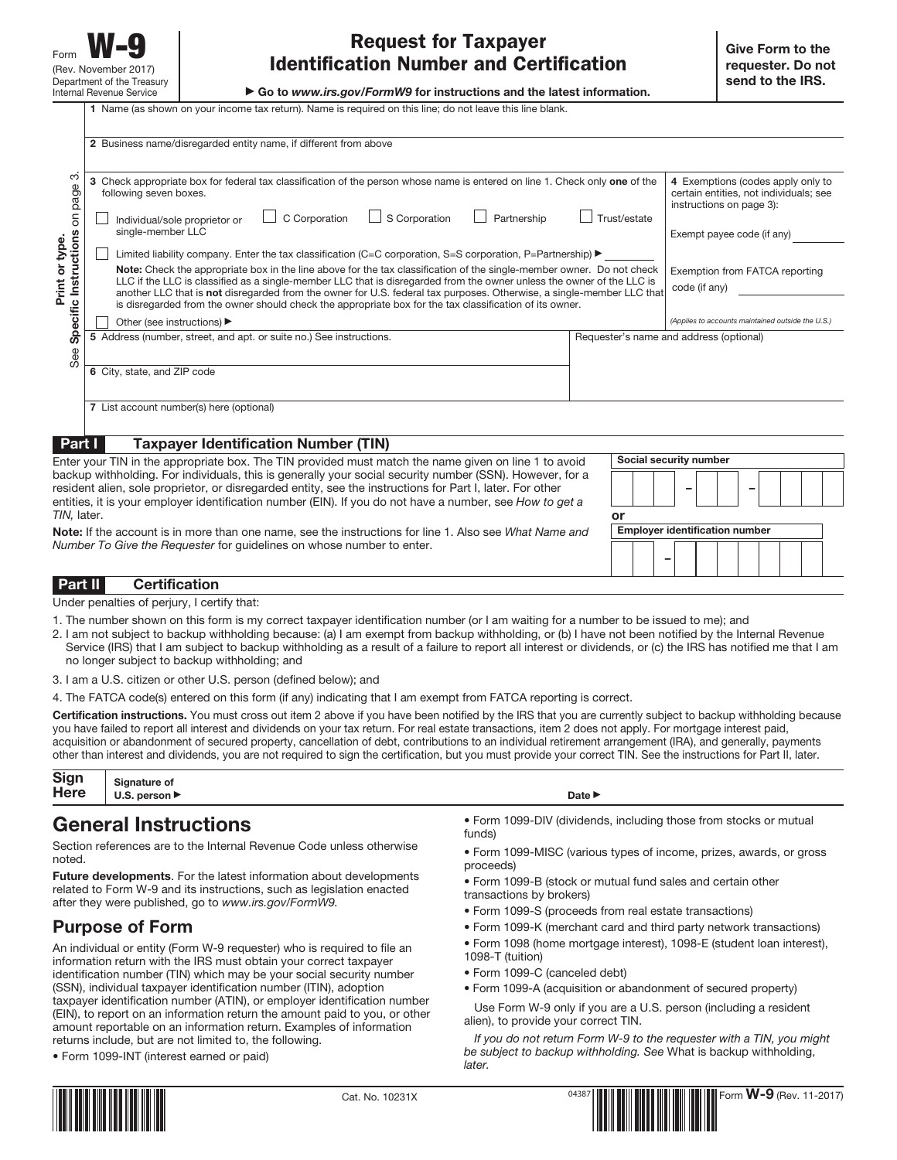▶ Go to *www.irs.gov/FormW9* for instructions and the latest information.

**1** Name (as shown on your income tax return). Name is required on this line; do not leave this line blank.

| က<br>Check appropriate box for federal tax classification of the person whose name is entered on line 1. Check only one of the<br>3<br>page<br>following seven boxes.<br>See Specific Instructions on<br>C Corporation<br>$\Box$ S Corporation<br>Trust/estate<br>Partnership<br>Individual/sole proprietor or<br>single-member LLC<br>Print or type.<br>Limited liability company. Enter the tax classification (C=C corporation, S=S corporation, P=Partnership) $\blacktriangleright$<br>Note: Check the appropriate box in the line above for the tax classification of the single-member owner. Do not check<br>LLC if the LLC is classified as a single-member LLC that is disregarded from the owner unless the owner of the LLC is |                                                                                                                                                                                                                                               |
|--------------------------------------------------------------------------------------------------------------------------------------------------------------------------------------------------------------------------------------------------------------------------------------------------------------------------------------------------------------------------------------------------------------------------------------------------------------------------------------------------------------------------------------------------------------------------------------------------------------------------------------------------------------------------------------------------------------------------------------------|-----------------------------------------------------------------------------------------------------------------------------------------------------------------------------------------------------------------------------------------------|
| another LLC that is not disregarded from the owner for U.S. federal tax purposes. Otherwise, a single-member LLC that<br>is disregarded from the owner should check the appropriate box for the tax classification of its owner.<br>Other (see instructions) ▶<br>5 Address (number, street, and apt. or suite no.) See instructions.<br>Requester's name and address (optional)                                                                                                                                                                                                                                                                                                                                                           | 4 Exemptions (codes apply only to<br>certain entities, not individuals; see<br>instructions on page 3):<br>Exempt payee code (if any)<br>Exemption from FATCA reporting<br>code (if any)<br>(Applies to accounts maintained outside the U.S.) |
| 6 City, state, and ZIP code                                                                                                                                                                                                                                                                                                                                                                                                                                                                                                                                                                                                                                                                                                                |                                                                                                                                                                                                                                               |
| 7 List account number(s) here (optional)                                                                                                                                                                                                                                                                                                                                                                                                                                                                                                                                                                                                                                                                                                   |                                                                                                                                                                                                                                               |
| <b>Taxpayer Identification Number (TIN)</b><br>Part I                                                                                                                                                                                                                                                                                                                                                                                                                                                                                                                                                                                                                                                                                      |                                                                                                                                                                                                                                               |
| Social security number<br>Enter your TIN in the appropriate box. The TIN provided must match the name given on line 1 to avoid<br>backup withholding. For individuals, this is generally your social security number (SSN). However, for a<br>resident alien, sole proprietor, or disregarded entity, see the instructions for Part I, later. For other<br>entities, it is your employer identification number (EIN). If you do not have a number, see How to get a<br>TIN, later.<br>or<br><b>Employer identification number</b><br><b>Note:</b> If the account is in more than one name, see the instructions for line 1. Also see What Name and                                                                                         |                                                                                                                                                                                                                                               |

**Note:** If the account is in more than one name, see the instructions for line 1. Also see What Name and Number To Give the Requester for guidelines on whose number to enter.

| Part II | - ہ<br>:эноп                           |  |  |  |  |  |  |
|---------|----------------------------------------|--|--|--|--|--|--|
|         | Under penelties of perium Loopify that |  |  |  |  |  |  |

Under penalties of perjury, I certify that:

- 1. The number shown on this form is my correct taxpayer identification number (or I am waiting for a number to be issued to me); and
- 2. I am not subject to backup withholding because: (a) I am exempt from backup withholding, or (b) I have not been notified by the Internal Revenue Service (IRS) that I am subject to backup withholding as a result of a failure to report all interest or dividends, or (c) the IRS has notified me that I am no longer subject to backup withholding; and
- 3. I am a U.S. citizen or other U.S. person (defined below); and

4. The FATCA code(s) entered on this form (if any) indicating that I am exempt from FATCA reporting is correct.

**Certification instructions.** You must cross out item 2 above if you have been notified by the IRS that you are currently subject to backup withholding because you have failed to report all interest and dividends on your tax return. For real estate transactions, item 2 does not apply. For mortgage interest paid, acquisition or abandonment of secured property, cancellation of debt, contributions to an individual retirement arrangement (IRA), and generally, payments other than interest and dividends, you are not required to sign the certification, but you must provide your correct TIN. See the instructions for Part II, later.

| Sign<br>Here | <b>Signature of</b><br><b>berson ▶</b> | Date $\blacktriangleright$ |
|--------------|----------------------------------------|----------------------------|
|              |                                        |                            |

# **General Instructions**

Section references are to the Internal Revenue Code unless otherwise noted.

**Future developments**. For the latest information about developments related to Form W-9 and its instructions, such as legislation enacted after they were published, go to www.irs.gov/FormW9.

# **Purpose of Form**

An individual or entity (Form W-9 requester) who is required to file an information return with the IRS must obtain your correct taxpayer identification number (TIN) which may be your social security number (SSN), individual taxpayer identification number (ITIN), adoption taxpayer identification number (ATIN), or employer identification number (EIN), to report on an information return the amount paid to you, or other amount reportable on an information return. Examples of information returns include, but are not limited to, the following.

• Form 1099-INT (interest earned or paid)



• Form 1099-MISC (various types of income, prizes, awards, or gross proceeds)

**–**

- Form 1099-B (stock or mutual fund sales and certain other transactions by brokers)
- Form 1099-S (proceeds from real estate transactions)
- Form 1099-K (merchant card and third party network transactions)
- Form 1098 (home mortgage interest), 1098-E (student loan interest), 1098-T (tuition)
- Form 1099-C (canceled debt)
- Form 1099-A (acquisition or abandonment of secured property)

Use Form W-9 only if you are a U.S. person (including a resident alien), to provide your correct TIN.

If you do not return Form W-9 to the requester with a TIN, you might be subject to backup withholding. See What is backup withholding, later.



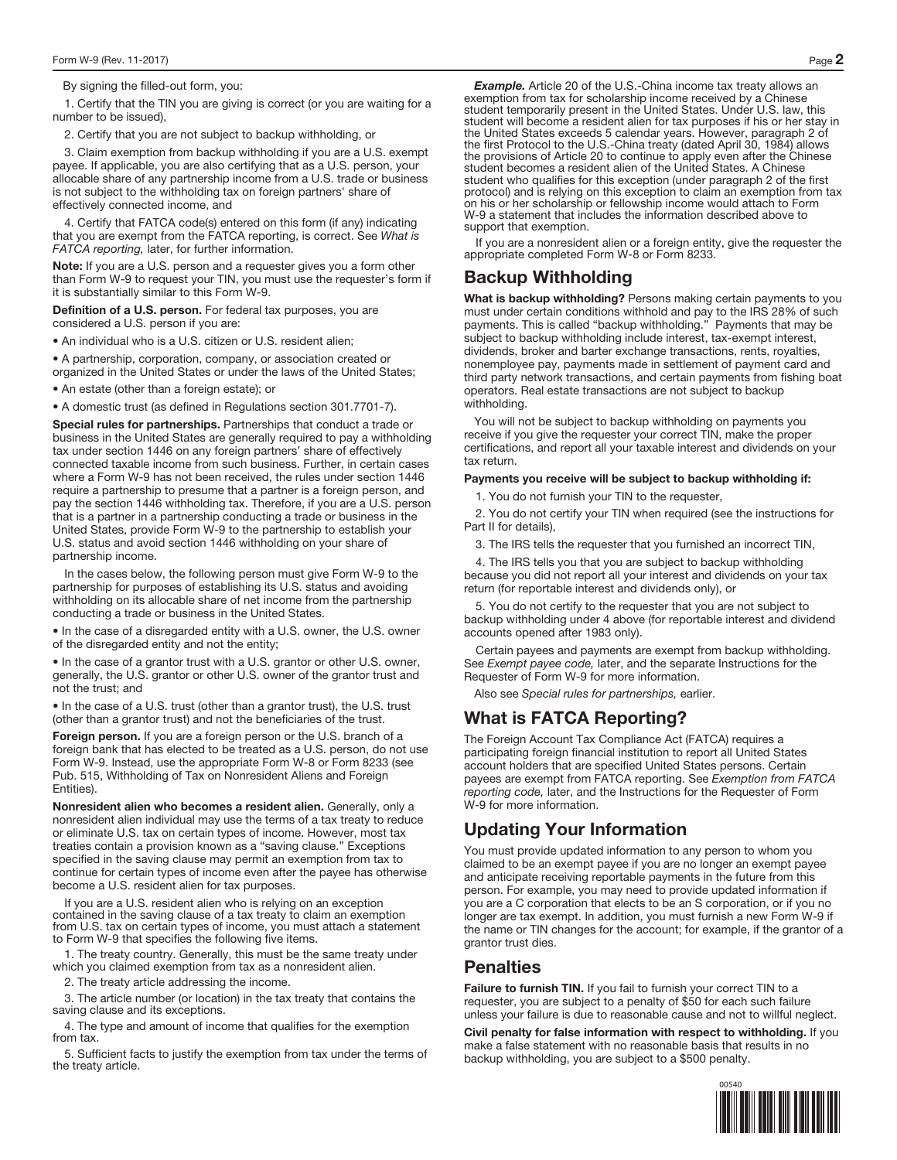By signing the filled-out form, you:

1. Certify that the TIN you are giving is correct (or you are waiting for a number to be issued),

2. Certify that you are not subject to backup withholding, or

3. Claim exemption from backup withholding if you are a U.S. exempt payee. If applicable, you are also certifying that as a U.S. person, your allocable share of any partnership income from a U.S. trade or business is not subject to the withholding tax on foreign partners' share of effectively connected income, and

4. Certify that FATCA code(s) entered on this form (if any) indicating that you are exempt from the FATCA reporting, is correct. See What is FATCA reporting, later, for further information.

**Note:** If you are a U.S. person and a requester gives you a form other than Form W-9 to request your TIN, you must use the requester's form if it is substantially similar to this Form W-9.

**Definition of a U.S. person.** For federal tax purposes, you are considered a U.S. person if you are:

• An individual who is a U.S. citizen or U.S. resident alien;

• A partnership, corporation, company, or association created or organized in the United States or under the laws of the United States;

• An estate (other than a foreign estate); or

• A domestic trust (as defined in Regulations section 301.7701-7).

**Special rules for partnerships.** Partnerships that conduct a trade or business in the United States are generally required to pay a withholding tax under section 1446 on any foreign partners' share of effectively connected taxable income from such business. Further, in certain cases where a Form W-9 has not been received, the rules under section 1446 require a partnership to presume that a partner is a foreign person, and pay the section 1446 withholding tax. Therefore, if you are a U.S. person that is a partner in a partnership conducting a trade or business in the United States, provide Form W-9 to the partnership to establish your U.S. status and avoid section 1446 withholding on your share of partnership income.

In the cases below, the following person must give Form W-9 to the partnership for purposes of establishing its U.S. status and avoiding withholding on its allocable share of net income from the partnership conducting a trade or business in the United States.

• In the case of a disregarded entity with a U.S. owner, the U.S. owner of the disregarded entity and not the entity;

• In the case of a grantor trust with a U.S. grantor or other U.S. owner, generally, the U.S. grantor or other U.S. owner of the grantor trust and not the trust; and

• In the case of a U.S. trust (other than a grantor trust), the U.S. trust (other than a grantor trust) and not the beneficiaries of the trust.

**Foreign person.** If you are a foreign person or the U.S. branch of a foreign bank that has elected to be treated as a U.S. person, do not use Form W-9. Instead, use the appropriate Form W-8 or Form 8233 (see Pub. 515, Withholding of Tax on Nonresident Aliens and Foreign Entities).

**Nonresident alien who becomes a resident alien.** Generally, only a nonresident alien individual may use the terms of a tax treaty to reduce or eliminate U.S. tax on certain types of income. However, most tax treaties contain a provision known as a "saving clause." Exceptions specified in the saving clause may permit an exemption from tax to continue for certain types of income even after the payee has otherwise become a U.S. resident alien for tax purposes.

If you are a U.S. resident alien who is relying on an exception contained in the saving clause of a tax treaty to claim an exemption from U.S. tax on certain types of income, you must attach a statement to Form W-9 that specifies the following five items.

1. The treaty country. Generally, this must be the same treaty under which you claimed exemption from tax as a nonresident alien.

2. The treaty article addressing the income.

3. The article number (or location) in the tax treaty that contains the saving clause and its exceptions.

4. The type and amount of income that qualifies for the exemption from tax.

5. Sufficient facts to justify the exemption from tax under the terms of the treaty article.

*Example.* Article 20 of the U.S.-China income tax treaty allows an exemption from tax for scholarship income received by a Chinese student temporarily present in the United States. Under U.S. law, this student will become a resident alien for tax purposes if his or her stay in the United States exceeds 5 calendar years. However, paragraph 2 of the first Protocol to the U.S.-China treaty (dated April 30, 1984) allows the provisions of Article 20 to continue to apply even after the Chinese student becomes a resident alien of the United States. A Chinese student who qualifies for this exception (under paragraph 2 of the first protocol) and is relying on this exception to claim an exemption from tax on his or her scholarship or fellowship income would attach to Form W-9 a statement that includes the information described above to support that exemption.

If you are a nonresident alien or a foreign entity, give the requester the appropriate completed Form W-8 or Form 8233.

### **Backup Withholding**

**What is backup withholding?** Persons making certain payments to you must under certain conditions withhold and pay to the IRS 28% of such payments. This is called "backup withholding." Payments that may be subject to backup withholding include interest, tax-exempt interest, dividends, broker and barter exchange transactions, rents, royalties, nonemployee pay, payments made in settlement of payment card and third party network transactions, and certain payments from fishing boat operators. Real estate transactions are not subject to backup withholding.

You will not be subject to backup withholding on payments you receive if you give the requester your correct TIN, make the proper certifications, and report all your taxable interest and dividends on your tax return.

**Payments you receive will be subject to backup withholding if:** 

1. You do not furnish your TIN to the requester,

2. You do not certify your TIN when required (see the instructions for Part II for details),

3. The IRS tells the requester that you furnished an incorrect TIN,

4. The IRS tells you that you are subject to backup withholding because you did not report all your interest and dividends on your tax return (for reportable interest and dividends only), or

5. You do not certify to the requester that you are not subject to backup withholding under 4 above (for reportable interest and dividend accounts opened after 1983 only).

Certain payees and payments are exempt from backup withholding. See Exempt payee code, later, and the separate Instructions for the Requester of Form W-9 for more information.

Also see Special rules for partnerships, earlier.

# **What is FATCA Reporting?**

The Foreign Account Tax Compliance Act (FATCA) requires a participating foreign financial institution to report all United States account holders that are specified United States persons. Certain payees are exempt from FATCA reporting. See Exemption from FATCA reporting code, later, and the Instructions for the Requester of Form W-9 for more information.

# **Updating Your Information**

You must provide updated information to any person to whom you claimed to be an exempt payee if you are no longer an exempt payee and anticipate receiving reportable payments in the future from this person. For example, you may need to provide updated information if you are a C corporation that elects to be an S corporation, or if you no longer are tax exempt. In addition, you must furnish a new Form W-9 if the name or TIN changes for the account; for example, if the grantor of a grantor trust dies.

# **Penalties**

**Failure to furnish TIN.** If you fail to furnish your correct TIN to a requester, you are subject to a penalty of \$50 for each such failure unless your failure is due to reasonable cause and not to willful neglect.

**Civil penalty for false information with respect to withholding.** If you make a false statement with no reasonable basis that results in no backup withholding, you are subject to a \$500 penalty.

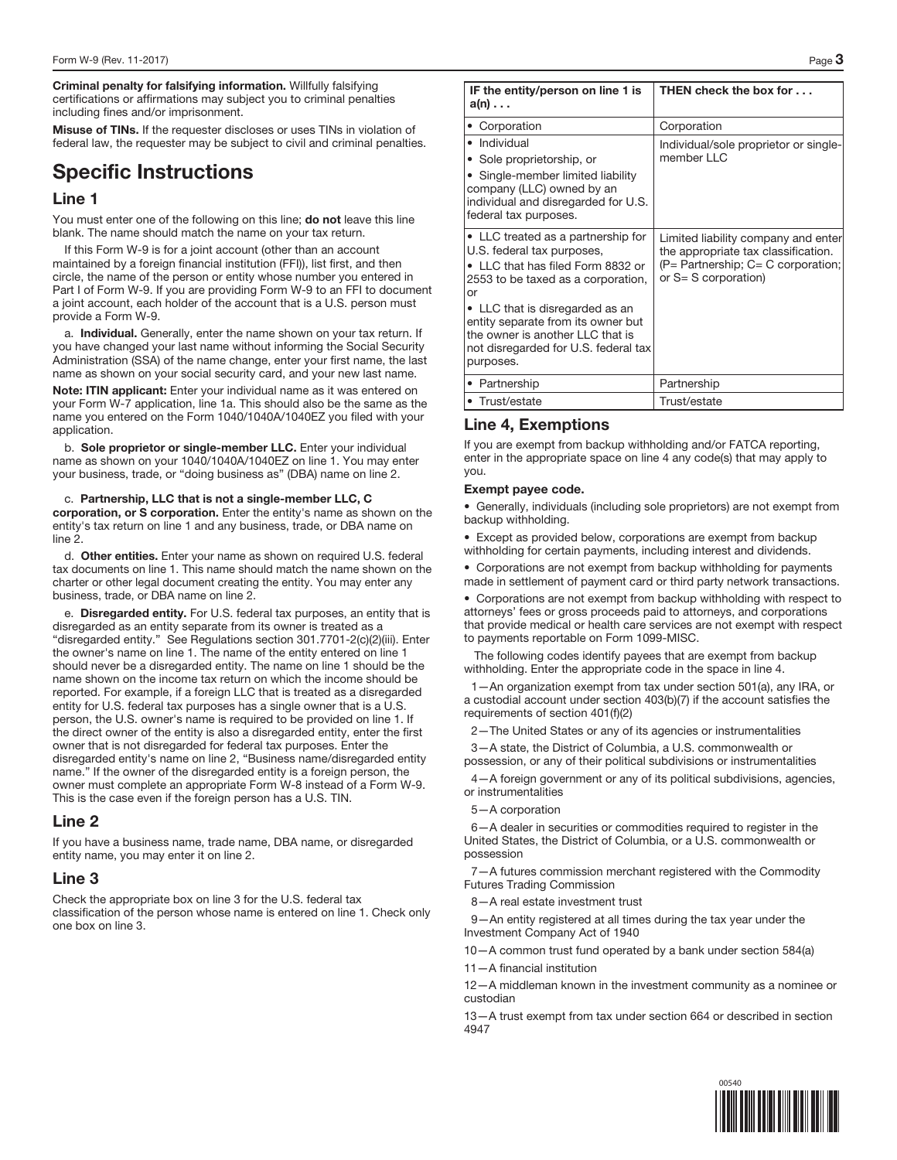**Criminal penalty for falsifying information.** Willfully falsifying certifications or affirmations may subject you to criminal penalties including fines and/or imprisonment.

**Misuse of TINs.** If the requester discloses or uses TINs in violation of federal law, the requester may be subject to civil and criminal penalties.

# **Specific Instructions**

### **Line 1**

You must enter one of the following on this line; **do not** leave this line blank. The name should match the name on your tax return.

If this Form W-9 is for a joint account (other than an account maintained by a foreign financial institution (FFI)), list first, and then circle, the name of the person or entity whose number you entered in Part I of Form W-9. If you are providing Form W-9 to an FFI to document a joint account, each holder of the account that is a U.S. person must provide a Form W-9.

a. **Individual.** Generally, enter the name shown on your tax return. If you have changed your last name without informing the Social Security Administration (SSA) of the name change, enter your first name, the last name as shown on your social security card, and your new last name.

**Note: ITIN applicant:** Enter your individual name as it was entered on your Form W-7 application, line 1a. This should also be the same as the name you entered on the Form 1040/1040A/1040EZ you filed with your application.

b. **Sole proprietor or single-member LLC.** Enter your individual name as shown on your 1040/1040A/1040EZ on line 1. You may enter your business, trade, or "doing business as" (DBA) name on line 2.

c. **Partnership, LLC that is not a single-member LLC, C corporation, or S corporation.** Enter the entity's name as shown on the entity's tax return on line 1 and any business, trade, or DBA name on line 2.

d. **Other entities.** Enter your name as shown on required U.S. federal tax documents on line 1. This name should match the name shown on the charter or other legal document creating the entity. You may enter any business, trade, or DBA name on line 2.

e. **Disregarded entity.** For U.S. federal tax purposes, an entity that is disregarded as an entity separate from its owner is treated as a "disregarded entity." See Regulations section 301.7701-2(c)(2)(iii). Enter the owner's name on line 1. The name of the entity entered on line 1 should never be a disregarded entity. The name on line 1 should be the name shown on the income tax return on which the income should be reported. For example, if a foreign LLC that is treated as a disregarded entity for U.S. federal tax purposes has a single owner that is a U.S. person, the U.S. owner's name is required to be provided on line 1. If the direct owner of the entity is also a disregarded entity, enter the first owner that is not disregarded for federal tax purposes. Enter the disregarded entity's name on line 2, "Business name/disregarded entity name." If the owner of the disregarded entity is a foreign person, the owner must complete an appropriate Form W-8 instead of a Form W-9. This is the case even if the foreign person has a U.S. TIN.

# **Line 2**

If you have a business name, trade name, DBA name, or disregarded entity name, you may enter it on line 2.

# **Line 3**

Check the appropriate box on line 3 for the U.S. federal tax classification of the person whose name is entered on line 1. Check only one box on line 3.

| IF the entity/person on line 1 is<br>$a(n) \ldots$                                                                                                                                                                                                                                                                  | THEN check the box for                                                                                                                      |  |  |  |  |
|---------------------------------------------------------------------------------------------------------------------------------------------------------------------------------------------------------------------------------------------------------------------------------------------------------------------|---------------------------------------------------------------------------------------------------------------------------------------------|--|--|--|--|
| • Corporation                                                                                                                                                                                                                                                                                                       | Corporation                                                                                                                                 |  |  |  |  |
| • Individual<br>• Sole proprietorship, or<br>• Single-member limited liability<br>company (LLC) owned by an<br>individual and disregarded for U.S.<br>federal tax purposes.                                                                                                                                         | Individual/sole proprietor or single-<br>member LLC                                                                                         |  |  |  |  |
| • LLC treated as a partnership for<br>U.S. federal tax purposes,<br>• LLC that has filed Form 8832 or<br>2553 to be taxed as a corporation,<br>or<br>• LLC that is disregarded as an<br>entity separate from its owner but<br>the owner is another LLC that is<br>not disregarded for U.S. federal tax<br>purposes. | Limited liability company and enter<br>the appropriate tax classification.<br>(P= Partnership; C= C corporation;<br>or $S = S$ corporation) |  |  |  |  |
| • Partnership                                                                                                                                                                                                                                                                                                       | Partnership                                                                                                                                 |  |  |  |  |
| • Trust/estate                                                                                                                                                                                                                                                                                                      | Trust/estate                                                                                                                                |  |  |  |  |

# **Line 4, Exemptions**

If you are exempt from backup withholding and/or FATCA reporting, enter in the appropriate space on line 4 any code(s) that may apply to you.

#### **Exempt payee code.**

• Generally, individuals (including sole proprietors) are not exempt from backup withholding.

• Except as provided below, corporations are exempt from backup withholding for certain payments, including interest and dividends.

• Corporations are not exempt from backup withholding for payments made in settlement of payment card or third party network transactions.

• Corporations are not exempt from backup withholding with respect to attorneys' fees or gross proceeds paid to attorneys, and corporations that provide medical or health care services are not exempt with respect to payments reportable on Form 1099-MISC.

The following codes identify payees that are exempt from backup withholding. Enter the appropriate code in the space in line 4.

1—An organization exempt from tax under section 501(a), any IRA, or a custodial account under section 403(b)(7) if the account satisfies the requirements of section 401(f)(2)

2—The United States or any of its agencies or instrumentalities

3—A state, the District of Columbia, a U.S. commonwealth or possession, or any of their political subdivisions or instrumentalities

4—A foreign government or any of its political subdivisions, agencies, or instrumentalities

#### 5—A corporation

6—A dealer in securities or commodities required to register in the United States, the District of Columbia, or a U.S. commonwealth or possession

7—A futures commission merchant registered with the Commodity Futures Trading Commission

-A real estate investment trust

9—An entity registered at all times during the tax year under the Investment Company Act of 1940

10—A common trust fund operated by a bank under section 584(a)

11—A financial institution

12—A middleman known in the investment community as a nominee or custodian

13—A trust exempt from tax under section 664 or described in section 4947



00540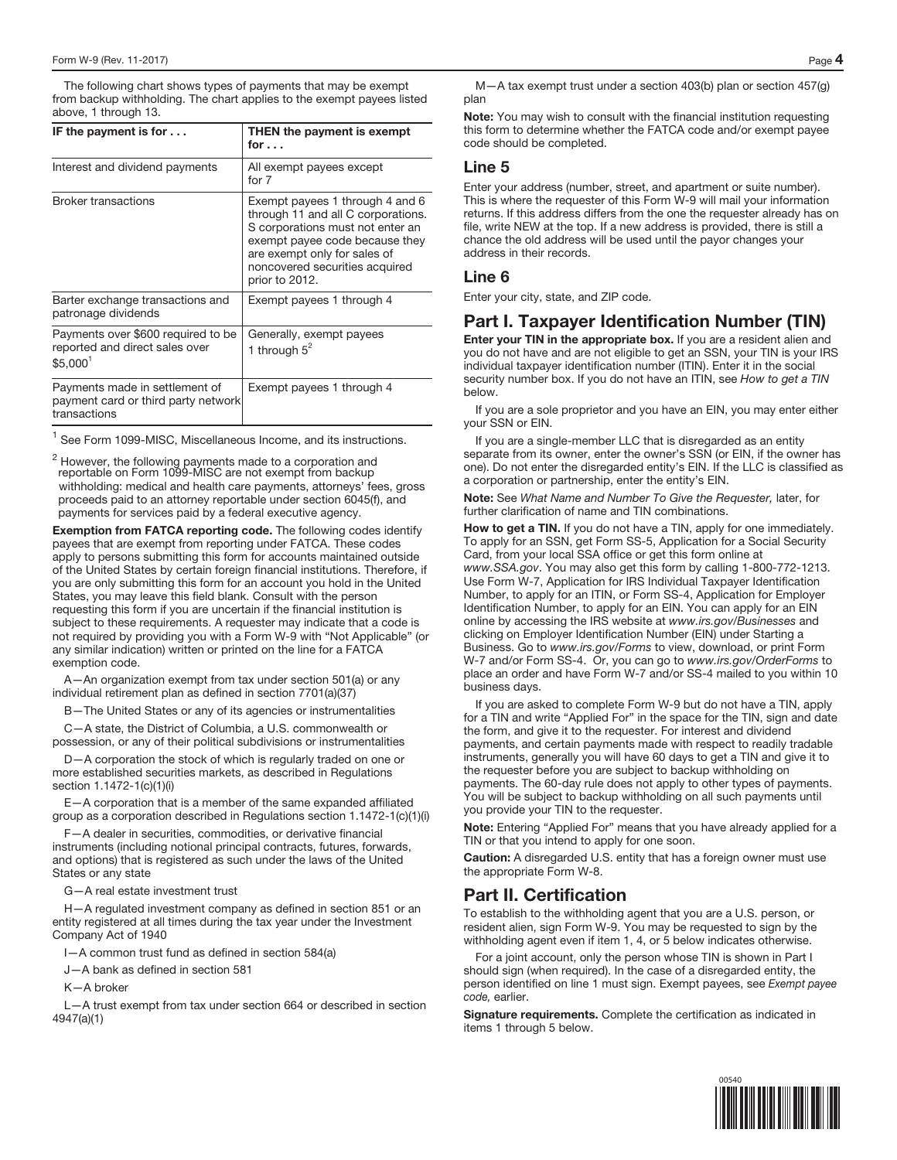The following chart shows types of payments that may be exempt from backup withholding. The chart applies to the exempt payees listed above, 1 through 13.

| IF the payment is for $\dots$                                                                | THEN the payment is exempt<br>for $\ldots$                                                                                                                                                                                      |
|----------------------------------------------------------------------------------------------|---------------------------------------------------------------------------------------------------------------------------------------------------------------------------------------------------------------------------------|
| Interest and dividend payments                                                               | All exempt payees except<br>for 7                                                                                                                                                                                               |
| <b>Broker transactions</b>                                                                   | Exempt payees 1 through 4 and 6<br>through 11 and all C corporations.<br>S corporations must not enter an<br>exempt payee code because they<br>are exempt only for sales of<br>noncovered securities acquired<br>prior to 2012. |
| Barter exchange transactions and<br>patronage dividends                                      | Exempt payees 1 through 4                                                                                                                                                                                                       |
| Payments over \$600 required to be<br>reported and direct sales over<br>\$5.000 <sup>1</sup> | Generally, exempt payees<br>1 through $5^2$                                                                                                                                                                                     |
| Payments made in settlement of<br>payment card or third party network<br>transactions        | Exempt payees 1 through 4                                                                                                                                                                                                       |

 $<sup>1</sup>$  See Form 1099-MISC, Miscellaneous Income, and its instructions.</sup>

 $^2$  However, the following payments made to a corporation and reportable on Form 1099-MISC are not exempt from backup withholding: medical and health care payments, attorneys' fees, gross proceeds paid to an attorney reportable under section 6045(f), and payments for services paid by a federal executive agency.

**Exemption from FATCA reporting code.** The following codes identify payees that are exempt from reporting under FATCA. These codes apply to persons submitting this form for accounts maintained outside of the United States by certain foreign financial institutions. Therefore, if you are only submitting this form for an account you hold in the United States, you may leave this field blank. Consult with the person requesting this form if you are uncertain if the financial institution is subject to these requirements. A requester may indicate that a code is not required by providing you with a Form W-9 with "Not Applicable" (or any similar indication) written or printed on the line for a FATCA exemption code.

A—An organization exempt from tax under section 501(a) or any individual retirement plan as defined in section 7701(a)(37)

- The United States or any of its agencies or instrumentalities

C—A state, the District of Columbia, a U.S. commonwealth or possession, or any of their political subdivisions or instrumentalities

D—A corporation the stock of which is regularly traded on one or more established securities markets, as described in Regulations section 1.1472-1(c)(1)(i)

E—A corporation that is a member of the same expanded affiliated group as a corporation described in Regulations section 1.1472-1(c)(1)(i)

F—A dealer in securities, commodities, or derivative financial instruments (including notional principal contracts, futures, forwards, and options) that is registered as such under the laws of the United States or any state

G—A real estate investment trust

H—A regulated investment company as defined in section 851 or an entity registered at all times during the tax year under the Investment Company Act of 1940

I—A common trust fund as defined in section 584(a)

J—A bank as defined in section 581

K—A broker

L—A trust exempt from tax under section 664 or described in section 4947(a)(1)

M—A tax exempt trust under a section 403(b) plan or section 457(g) plan

**Note:** You may wish to consult with the financial institution requesting this form to determine whether the FATCA code and/or exempt payee code should be completed.

### **Line 5**

Enter your address (number, street, and apartment or suite number). This is where the requester of this Form W-9 will mail your information returns. If this address differs from the one the requester already has on file, write NEW at the top. If a new address is provided, there is still a chance the old address will be used until the payor changes your address in their records.

#### **Line 6**

Enter your city, state, and ZIP code.

# **Part I. Taxpayer Identification Number (TIN)**

**Enter your TIN in the appropriate box.** If you are a resident alien and you do not have and are not eligible to get an SSN, your TIN is your IRS individual taxpayer identification number (ITIN). Enter it in the social security number box. If you do not have an ITIN, see How to get a TIN below.

If you are a sole proprietor and you have an EIN, you may enter either your SSN or EIN.

If you are a single-member LLC that is disregarded as an entity separate from its owner, enter the owner's SSN (or EIN, if the owner has one). Do not enter the disregarded entity's EIN. If the LLC is classified as a corporation or partnership, enter the entity's EIN.

**Note:** See What Name and Number To Give the Requester, later, for further clarification of name and TIN combinations.

**How to get a TIN.** If you do not have a TIN, apply for one immediately. To apply for an SSN, get Form SS-5, Application for a Social Security Card, from your local SSA office or get this form online at www.SSA.gov. You may also get this form by calling 1-800-772-1213. Use Form W-7, Application for IRS Individual Taxpayer Identification Number, to apply for an ITIN, or Form SS-4, Application for Employer Identification Number, to apply for an EIN. You can apply for an EIN online by accessing the IRS website at www.irs.gov/Businesses and clicking on Employer Identification Number (EIN) under Starting a Business. Go to www.irs.gov/Forms to view, download, or print Form W-7 and/or Form SS-4. Or, you can go to www.irs.gov/OrderForms to place an order and have Form W-7 and/or SS-4 mailed to you within 10 business days.

If you are asked to complete Form W-9 but do not have a TIN, apply for a TIN and write "Applied For" in the space for the TIN, sign and date the form, and give it to the requester. For interest and dividend payments, and certain payments made with respect to readily tradable instruments, generally you will have 60 days to get a TIN and give it to the requester before you are subject to backup withholding on payments. The 60-day rule does not apply to other types of payments. You will be subject to backup withholding on all such payments until you provide your TIN to the requester.

**Note:** Entering "Applied For" means that you have already applied for a TIN or that you intend to apply for one soon.

**Caution:** A disregarded U.S. entity that has a foreign owner must use the appropriate Form W-8.

# **Part II. Certification**

To establish to the withholding agent that you are a U.S. person, or resident alien, sign Form W-9. You may be requested to sign by the withholding agent even if item 1, 4, or 5 below indicates otherwise.

For a joint account, only the person whose TIN is shown in Part I should sign (when required). In the case of a disregarded entity, the person identified on line 1 must sign. Exempt payees, see Exempt payee code, earlier.

**Signature requirements.** Complete the certification as indicated in items 1 through 5 below.

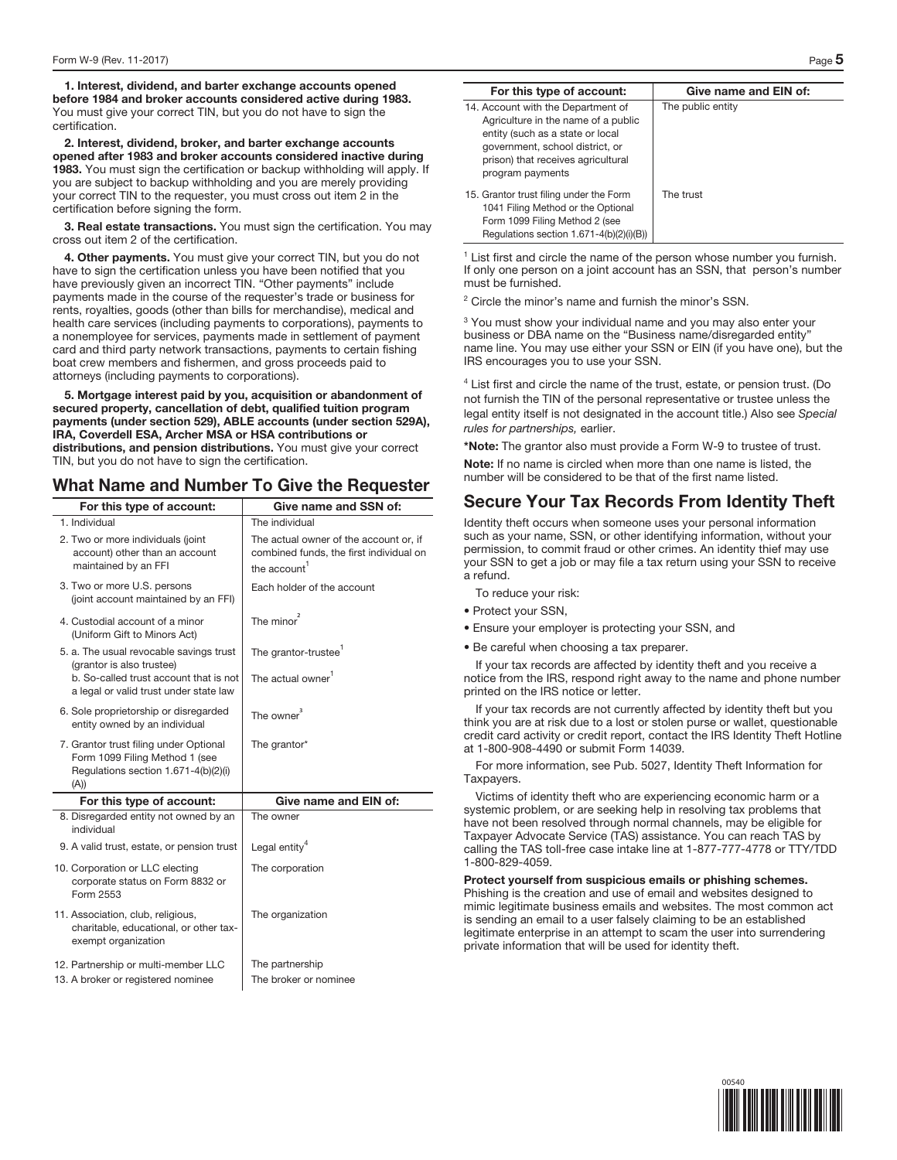**1. Interest, dividend, and barter exchange accounts opened before 1984 and broker accounts considered active during 1983.**  You must give your correct TIN, but you do not have to sign the certification.

**2. Interest, dividend, broker, and barter exchange accounts opened after 1983 and broker accounts considered inactive during 1983.** You must sign the certification or backup withholding will apply. If you are subject to backup withholding and you are merely providing your correct TIN to the requester, you must cross out item 2 in the certification before signing the form.

**3. Real estate transactions.** You must sign the certification. You may cross out item 2 of the certification.

**4. Other payments.** You must give your correct TIN, but you do not have to sign the certification unless you have been notified that you have previously given an incorrect TIN. "Other payments" include payments made in the course of the requester's trade or business for rents, royalties, goods (other than bills for merchandise), medical and health care services (including payments to corporations), payments to a nonemployee for services, payments made in settlement of payment card and third party network transactions, payments to certain fishing boat crew members and fishermen, and gross proceeds paid to attorneys (including payments to corporations).

**5. Mortgage interest paid by you, acquisition or abandonment of secured property, cancellation of debt, qualified tuition program payments (under section 529), ABLE accounts (under section 529A), IRA, Coverdell ESA, Archer MSA or HSA contributions or distributions, and pension distributions.** You must give your correct TIN, but you do not have to sign the certification.

# **What Name and Number To Give the Requester**

| For this type of account:                                                                                                | Give name and SSN of:                                                                                         |
|--------------------------------------------------------------------------------------------------------------------------|---------------------------------------------------------------------------------------------------------------|
| 1. Individual                                                                                                            | The individual                                                                                                |
| 2. Two or more individuals (joint<br>account) other than an account<br>maintained by an FFI                              | The actual owner of the account or, if<br>combined funds, the first individual on<br>the account <sup>1</sup> |
| 3. Two or more U.S. persons<br>(joint account maintained by an FFI)                                                      | Each holder of the account                                                                                    |
| 4. Custodial account of a minor<br>(Uniform Gift to Minors Act)                                                          | The minor <sup>2</sup>                                                                                        |
| 5. a. The usual revocable savings trust<br>(grantor is also trustee)                                                     | The grantor-trustee <sup>1</sup>                                                                              |
| b. So-called trust account that is not<br>a legal or valid trust under state law                                         | The actual owner <sup>1</sup>                                                                                 |
| 6. Sole proprietorship or disregarded<br>entity owned by an individual                                                   | The owner $3$                                                                                                 |
| 7. Grantor trust filing under Optional<br>Form 1099 Filing Method 1 (see<br>Regulations section 1.671-4(b)(2)(i)<br>(A)) | The grantor*                                                                                                  |
| For this type of account:                                                                                                | Give name and EIN of:                                                                                         |
| 8. Disregarded entity not owned by an<br>individual                                                                      | The owner                                                                                                     |
| 9. A valid trust, estate, or pension trust                                                                               | Legal entity <sup>4</sup>                                                                                     |
| 10. Corporation or LLC electing<br>corporate status on Form 8832 or<br>Form 2553                                         | The corporation                                                                                               |
| 11. Association, club, religious,<br>charitable, educational, or other tax-<br>exempt organization                       | The organization                                                                                              |
| 12. Partnership or multi-member LLC                                                                                      | The partnership                                                                                               |
| 13. A broker or registered nominee                                                                                       | The broker or nominee                                                                                         |

| For this type of account:                                                                                                                                                                                  | Give name and EIN of: |
|------------------------------------------------------------------------------------------------------------------------------------------------------------------------------------------------------------|-----------------------|
| 14. Account with the Department of<br>Agriculture in the name of a public<br>entity (such as a state or local<br>government, school district, or<br>prison) that receives agricultural<br>program payments | The public entity     |
| 15. Grantor trust filing under the Form<br>1041 Filing Method or the Optional<br>Form 1099 Filing Method 2 (see<br>Regulations section $1.671-4(b)(2)(i)(B)$                                               | The trust             |

<sup>1</sup> List first and circle the name of the person whose number you furnish. If only one person on a joint account has an SSN, that person's number must be furnished.

<sup>2</sup> Circle the minor's name and furnish the minor's SSN.

<sup>3</sup> You must show your individual name and you may also enter your business or DBA name on the "Business name/disregarded entity" name line. You may use either your SSN or EIN (if you have one), but the IRS encourages you to use your SSN.

<sup>4</sup> List first and circle the name of the trust, estate, or pension trust. (Do not furnish the TIN of the personal representative or trustee unless the legal entity itself is not designated in the account title.) Also see Special rules for partnerships, earlier.

**\*Note:** The grantor also must provide a Form W-9 to trustee of trust.

**Note:** If no name is circled when more than one name is listed, the number will be considered to be that of the first name listed.

# **Secure Your Tax Records From Identity Theft**

Identity theft occurs when someone uses your personal information such as your name, SSN, or other identifying information, without your permission, to commit fraud or other crimes. An identity thief may use your SSN to get a job or may file a tax return using your SSN to receive a refund.

To reduce your risk:

- Protect your SSN,
- Ensure your employer is protecting your SSN, and

• Be careful when choosing a tax preparer.

If your tax records are affected by identity theft and you receive a notice from the IRS, respond right away to the name and phone number printed on the IRS notice or letter.

If your tax records are not currently affected by identity theft but you think you are at risk due to a lost or stolen purse or wallet, questionable credit card activity or credit report, contact the IRS Identity Theft Hotline at 1-800-908-4490 or submit Form 14039.

For more information, see Pub. 5027, Identity Theft Information for Taxpayers.

Victims of identity theft who are experiencing economic harm or a systemic problem, or are seeking help in resolving tax problems that have not been resolved through normal channels, may be eligible for Taxpayer Advocate Service (TAS) assistance. You can reach TAS by calling the TAS toll-free case intake line at 1-877-777-4778 or TTY/TDD 1-800-829-4059.

**Protect yourself from suspicious emails or phishing schemes.**  Phishing is the creation and use of email and websites designed to mimic legitimate business emails and websites. The most common act is sending an email to a user falsely claiming to be an established legitimate enterprise in an attempt to scam the user into surrendering private information that will be used for identity theft.